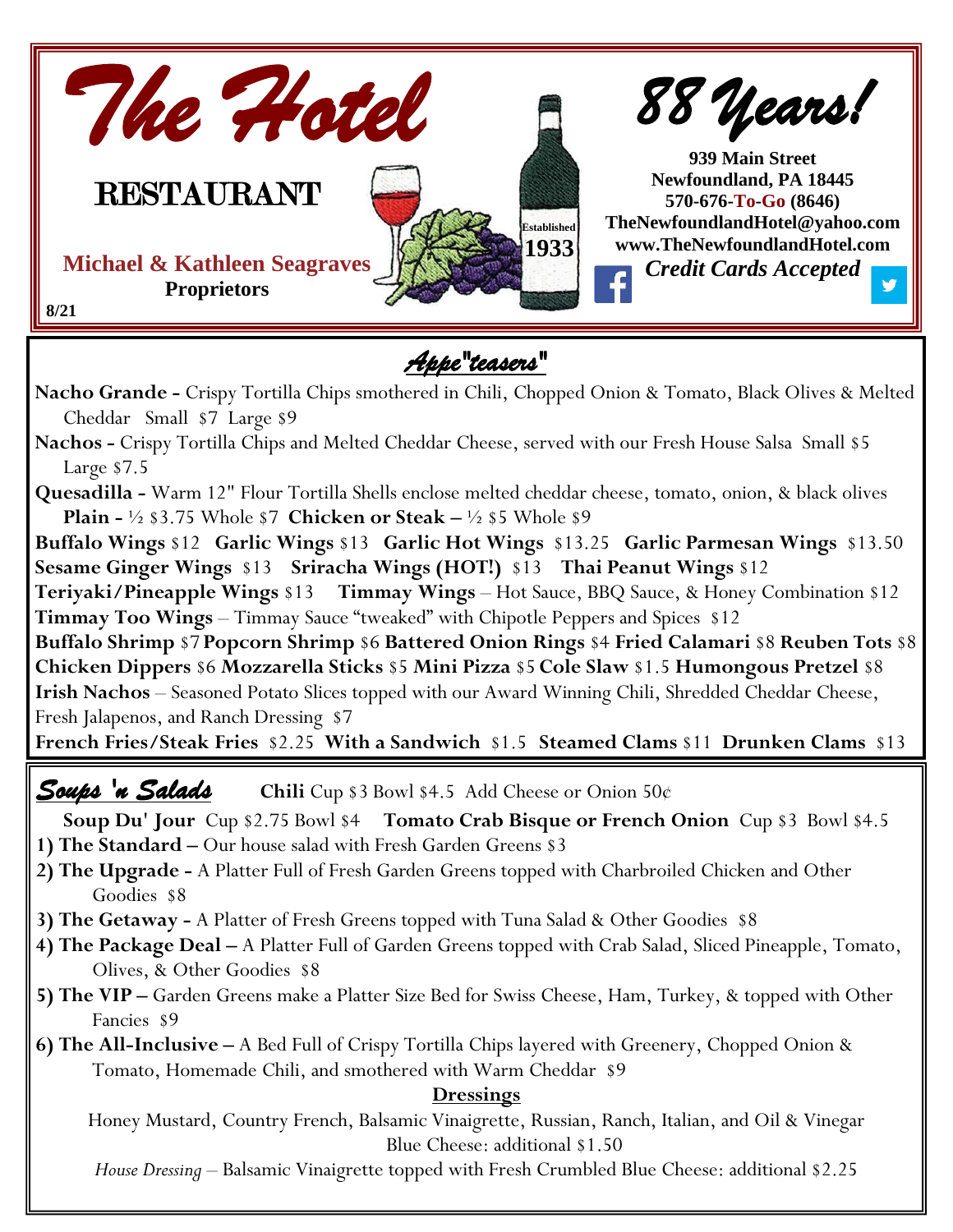

*Appe"teasers"* 

**Nacho Grande -** Crispy Tortilla Chips smothered in Chili, Chopped Onion & Tomato, Black Olives & Melted Cheddar Small \$7 Large \$9

**Nachos -** Crispy Tortilla Chips and Melted Cheddar Cheese, served with our Fresh House Salsa Small \$5 Large \$7.5

**Quesadilla -** Warm 12" Flour Tortilla Shells enclose melted cheddar cheese, tomato, onion, & black olives **Plain -** ½ \$3.75 Whole \$7 **Chicken or Steak –** ½ \$5 Whole \$9

**Buffalo Wings** \$12 **Garlic Wings** \$13 **Garlic Hot Wings** \$13.25 **Garlic Parmesan Wings** \$13.50 **Sesame Ginger Wings** \$13 **Sriracha Wings (HOT!)** \$13 **Thai Peanut Wings** \$12

**Teriyaki/Pineapple Wings** \$13 **Timmay Wings** – Hot Sauce, BBQ Sauce, & Honey Combination \$12 **Timmay Too Wings** – Timmay Sauce "tweaked" with Chipotle Peppers and Spices \$12

**Buffalo Shrimp** \$7 **Popcorn Shrimp** \$6 **Battered Onion Rings** \$4 **Fried Calamari** \$8 **Reuben Tots** \$8 **Chicken Dippers** \$6 **Mozzarella Sticks** \$5 **Mini Pizza** \$5 **Cole Slaw** \$1.5 **Humongous Pretzel** \$8 **Irish Nachos** – Seasoned Potato Slices topped with our Award Winning Chili, Shredded Cheddar Cheese, Fresh Jalapenos, and Ranch Dressing \$7

**French Fries/Steak Fries** \$2.25 **With a Sandwich** \$1.5 **Steamed Clams** \$11 **Drunken Clams** \$13

**Texas Fries –** Seasoned, Steak-Cut Fries, Melted Cheddar, Chili, Ranch Dressing and Fresh Jalapeno Peppers \$3.25 *Soups 'n Salads* **Chili** Cup \$3 Bowl \$4.5 Add Cheese or Onion 50¢

**Soup Du' Jour** Cup \$2.75 Bowl \$4 **Tomato Crab Bisque or French Onion** Cup \$3 Bowl \$4.5

- **1) The Standard –** Our house salad with Fresh Garden Greens \$3
- **2) The Upgrade -** A Platter Full of Fresh Garden Greens topped with Charbroiled Chicken and Other Goodies \$8
- **3) The Getaway -** A Platter of Fresh Greens topped with Tuna Salad & Other Goodies \$8
- **4) The Package Deal –** A Platter Full of Garden Greens topped with Crab Salad, Sliced Pineapple, Tomato, Olives, & Other Goodies \$8
- **5) The VIP –** Garden Greens make a Platter Size Bed for Swiss Cheese, Ham, Turkey, & topped with Other Fancies \$9

**6) The All-Inclusive –** A Bed Full of Crispy Tortilla Chips layered with Greenery, Chopped Onion & Tomato, Homemade Chili, and smothered with Warm Cheddar \$9

#### **Dressings**

Honey Mustard, Country French, Balsamic Vinaigrette, Russian, Ranch, Italian, and Oil & Vinegar Blue Cheese: additional \$1.50

*House Dressing –* Balsamic Vinaigrette topped with Fresh Crumbled Blue Cheese: additional \$2.25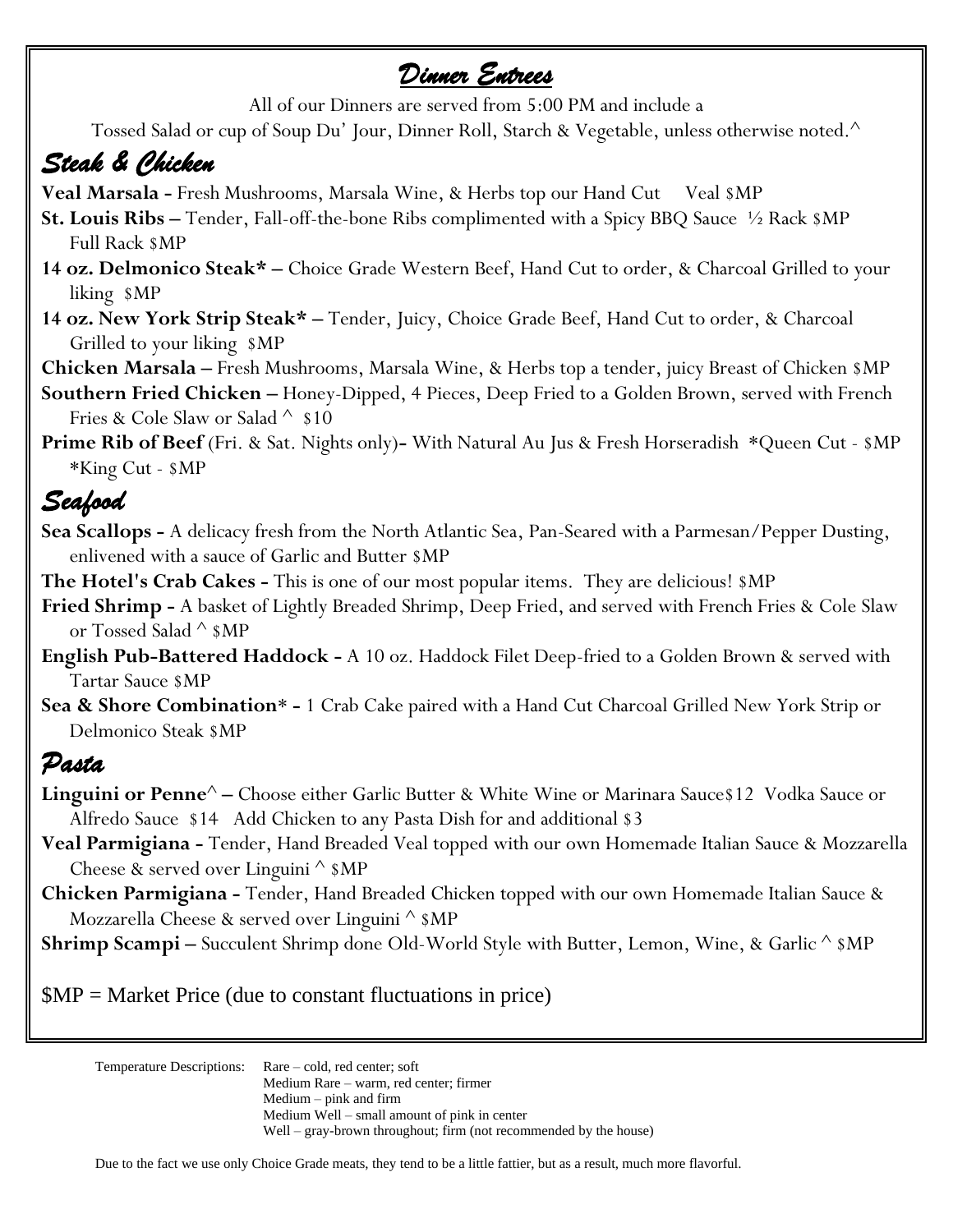## *Dinner Entrees*

All of our Dinners are served from 5:00 PM and include a

Tossed Salad or cup of Soup Du' Jour, Dinner Roll, Starch & Vegetable, unless otherwise noted.^

# *Steak & Chicken*

Veal Marsala - Fresh Mushrooms, Marsala Wine, & Herbs top our Hand Cut Veal \$MP

- **St. Louis Ribs –** Tender, Fall-off-the-bone Ribs complimented with a Spicy BBQ Sauce ½ Rack \$MP Full Rack \$MP
- **14 oz. Delmonico Steak\* –** Choice Grade Western Beef, Hand Cut to order, & Charcoal Grilled to your liking \$MP
- **14 oz. New York Strip Steak\* –** Tender, Juicy, Choice Grade Beef, Hand Cut to order, & Charcoal Grilled to your liking \$MP
- **Chicken Marsala –** Fresh Mushrooms, Marsala Wine, & Herbs top a tender, juicy Breast of Chicken \$MP
- **Southern Fried Chicken –** Honey-Dipped, 4 Pieces, Deep Fried to a Golden Brown, served with French Fries & Cole Slaw or Salad  $\wedge$  \$10
- **Prime Rib of Beef** (Fri. & Sat. Nights only)**-** With Natural Au Jus & Fresh Horseradish \*Queen Cut \$MP \*King Cut - \$MP

## *Seafood*

- **Sea Scallops -** A delicacy fresh from the North Atlantic Sea, Pan-Seared with a Parmesan/Pepper Dusting, enlivened with a sauce of Garlic and Butter \$MP
- **The Hotel's Crab Cakes -** This is one of our most popular items. They are delicious! \$MP
- **Fried Shrimp -** A basket of Lightly Breaded Shrimp, Deep Fried, and served with French Fries & Cole Slaw or Tossed Salad ^ \$MP
- **English Pub-Battered Haddock -** A 10 oz. Haddock Filet Deep-fried to a Golden Brown & served with Tartar Sauce \$MP
- **Sea & Shore Combination**\* **-** 1 Crab Cake paired with a Hand Cut Charcoal Grilled New York Strip or Delmonico Steak \$MP

### *Pasta*

- **Linguini or Penne<sup>** $\wedge$ **</sup> –** Choose either Garlic Butter & White Wine or Marinara Sauce \$12 Vodka Sauce or Alfredo Sauce \$14 Add Chicken to any Pasta Dish for and additional \$3
- **Veal Parmigiana -** Tender, Hand Breaded Veal topped with our own Homemade Italian Sauce & Mozzarella Cheese & served over Linguini  $\wedge$  \$MP
- **Chicken Parmigiana -** Tender, Hand Breaded Chicken topped with our own Homemade Italian Sauce & Mozzarella Cheese & served over Linguini ^ \$MP

**Shrimp Scampi** – Succulent Shrimp done Old-World Style with Butter, Lemon, Wine, & Garlic  $\wedge$  \$MP

\$MP = Market Price (due to constant fluctuations in price)

Temperature Descriptions: Rare – cold, red center; soft Medium Rare – warm, red center; firmer Medium – pink and firm Medium Well – small amount of pink in center Well – gray-brown throughout; firm (not recommended by the house)

Due to the fact we use only Choice Grade meats, they tend to be a little fattier, but as a result, much more flavorful.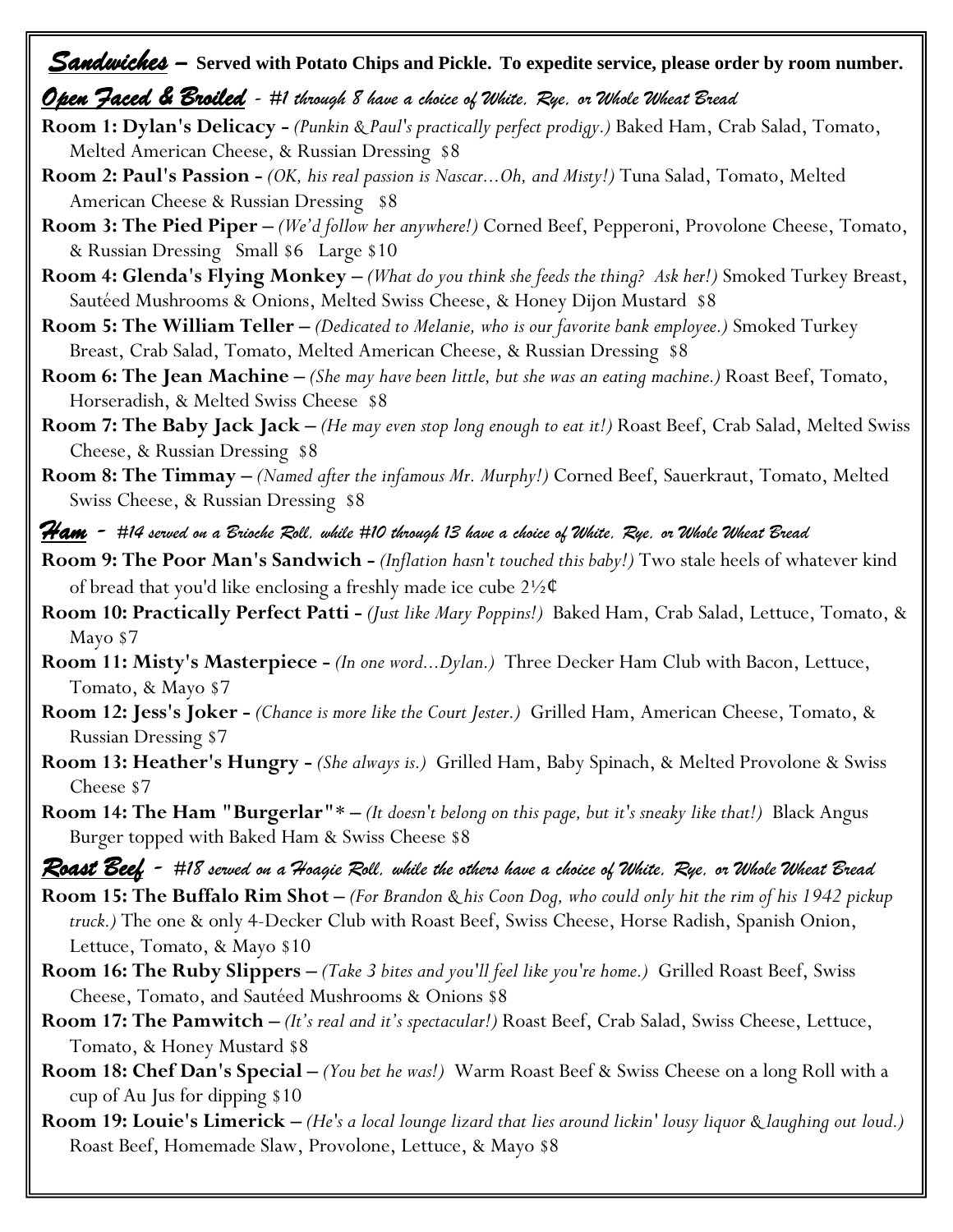# *Sandwiches* – **Served with Potato Chips and Pickle. To expedite service, please order by room number.**

#### *Open Faced & Broiled - #1 through 8 have a choice of White, Rye, or Whole Wheat Bread*

- **Room 1: Dylan's Delicacy -** *(Punkin & Paul's practically perfect prodigy.)* Baked Ham, Crab Salad, Tomato, Melted American Cheese, & Russian Dressing \$8
- **Room 2: Paul's Passion -** *(OK, his real passion is Nascar...Oh, and Misty!)* Tuna Salad, Tomato, Melted American Cheese & Russian Dressing \$8
- **Room 3: The Pied Piper –** *(We'd follow her anywhere!)* Corned Beef, Pepperoni, Provolone Cheese, Tomato, & Russian Dressing Small \$6 Large \$10
- **Room 4: Glenda's Flying Monkey –** *(What do you think she feeds the thing? Ask her!)* Smoked Turkey Breast, Sautéed Mushrooms & Onions, Melted Swiss Cheese, & Honey Dijon Mustard \$8
- **Room 5: The William Teller –** *(Dedicated to Melanie, who is our favorite bank employee.)* Smoked Turkey Breast, Crab Salad, Tomato, Melted American Cheese, & Russian Dressing \$8
- **Room 6: The Jean Machine –** *(She may have been little, but she was an eating machine.)* Roast Beef, Tomato, Horseradish, & Melted Swiss Cheese \$8
- **Room 7: The Baby Jack Jack –** *(He may even stop long enough to eat it!)* Roast Beef, Crab Salad, Melted Swiss Cheese, & Russian Dressing \$8
- **Room 8: The Timmay –** *(Named after the infamous Mr. Murphy!)* Corned Beef, Sauerkraut, Tomato, Melted Swiss Cheese, & Russian Dressing \$8
- *Ham - #14 served on a Brioche Roll, while #10 through 13 have a choice of White, Rye, or Whole Wheat Bread*
- **Room 9: The Poor Man's Sandwich -** *(Inflation hasn't touched this baby!)* Two stale heels of whatever kind of bread that you'd like enclosing a freshly made ice cube  $2\frac{1}{2}\mathcal{C}$
- **Room 10: Practically Perfect Patti -** *(Just like Mary Poppins!)* Baked Ham, Crab Salad, Lettuce, Tomato, & Mayo \$7
- **Room 11: Misty's Masterpiece -** *(In one word...Dylan.)* Three Decker Ham Club with Bacon, Lettuce, Tomato, & Mayo \$7
- **Room 12: Jess's Joker -** *(Chance is more like the Court Jester.)* Grilled Ham, American Cheese, Tomato, & Russian Dressing \$7
- **Room 13: Heather's Hungry -** *(She always is.)* Grilled Ham, Baby Spinach, & Melted Provolone & Swiss Cheese \$7
- **Room 14: The Ham "Burgerlar"**\* **–** *(It doesn't belong on this page, but it's sneaky like that!)* Black Angus Burger topped with Baked Ham & Swiss Cheese \$8
- *Roast Beef - #18 served on a Hoagie Roll, while the others have a choice of White, Rye, or Whole Wheat Bread*
- **Room 15: The Buffalo Rim Shot –** *(For Brandon & his Coon Dog, who could only hit the rim of his 1942 pickup truck.)* The one & only 4-Decker Club with Roast Beef, Swiss Cheese, Horse Radish, Spanish Onion, Lettuce, Tomato, & Mayo \$10
- **Room 16: The Ruby Slippers –** *(Take 3 bites and you'll feel like you're home.)* Grilled Roast Beef, Swiss Cheese, Tomato, and Sautéed Mushrooms & Onions \$8
- **Room 17: The Pamwitch –** *(It's real and it's spectacular!)* Roast Beef, Crab Salad, Swiss Cheese, Lettuce, Tomato, & Honey Mustard \$8
- **Room 18: Chef Dan's Special –** *(You bet he was!)* Warm Roast Beef & Swiss Cheese on a long Roll with a cup of Au Jus for dipping \$10
- **Room 19: Louie's Limerick –** *(He's a local lounge lizard that lies around lickin' lousy liquor & laughing out loud.)*  Roast Beef, Homemade Slaw, Provolone, Lettuce, & Mayo \$8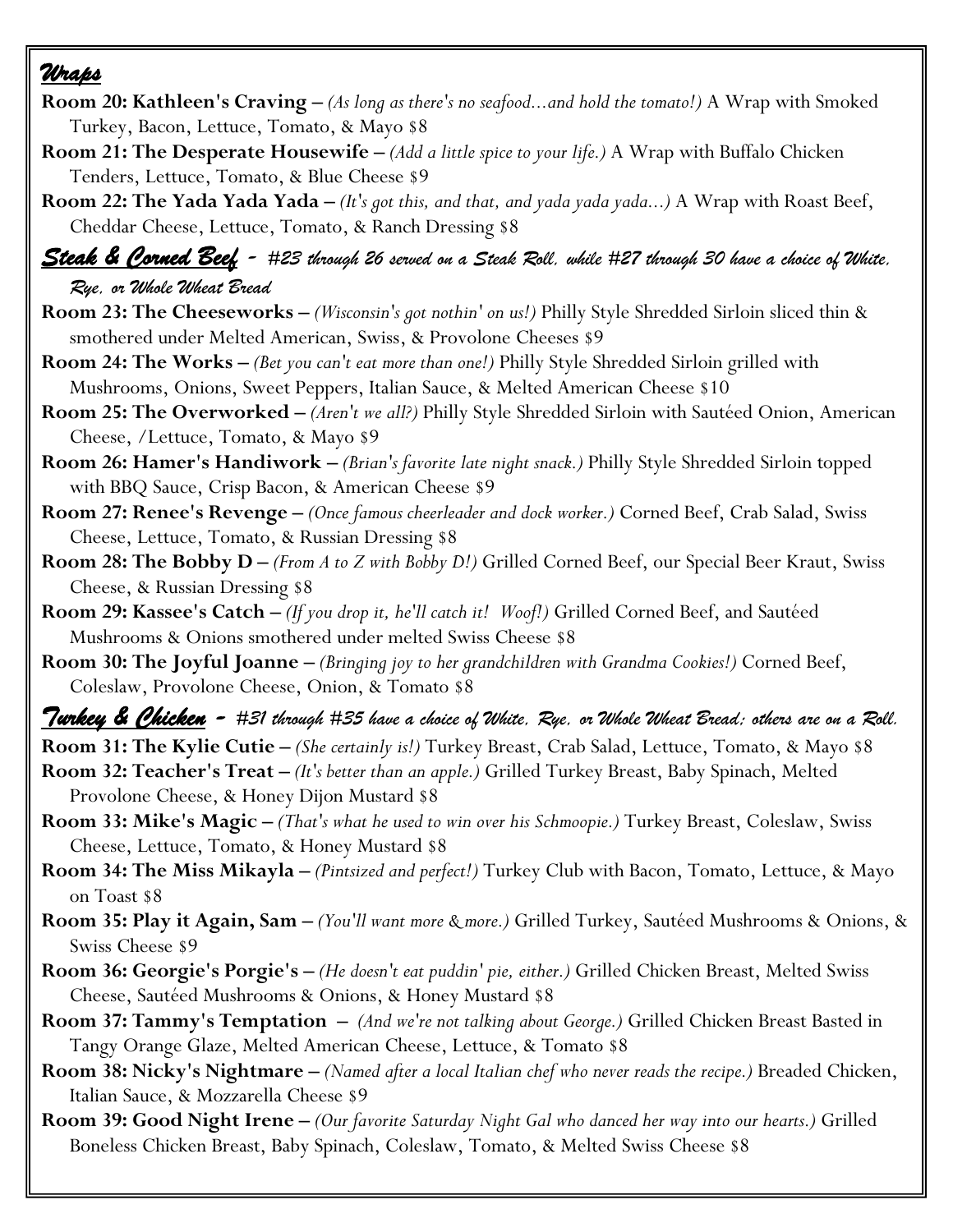### *Wraps*

- **Room 20: Kathleen's Craving –** *(As long as there's no seafood...and hold the tomato!)* A Wrap with Smoked Turkey, Bacon, Lettuce, Tomato, & Mayo \$8
- **Room 21: The Desperate Housewife –** *(Add a little spice to your life.)* A Wrap with Buffalo Chicken Tenders, Lettuce, Tomato, & Blue Cheese \$9
- **Room 22: The Yada Yada Yada –** *(It's got this, and that, and yada yada yada...)* A Wrap with Roast Beef, Cheddar Cheese, Lettuce, Tomato, & Ranch Dressing \$8

### *Steak & Corned Beef - #23 through 26 served on a Steak Roll, while #27 through 30 have a choice of White, Rye, or Whole Wheat Bread*

- **Room 23: The Cheeseworks –** *(Wisconsin's got nothin' on us!)* Philly Style Shredded Sirloin sliced thin & smothered under Melted American, Swiss, & Provolone Cheeses \$9
- **Room 24: The Works –** *(Bet you can't eat more than one!)* Philly Style Shredded Sirloin grilled with Mushrooms, Onions, Sweet Peppers, Italian Sauce, & Melted American Cheese \$10
- **Room 25: The Overworked –** *(Aren't we all?)* Philly Style Shredded Sirloin with Sautéed Onion, American Cheese, /Lettuce, Tomato, & Mayo \$9
- **Room 26: Hamer's Handiwork –** *(Brian's favorite late night snack.)* Philly Style Shredded Sirloin topped with BBQ Sauce, Crisp Bacon, & American Cheese \$9
- **Room 27: Renee's Revenge –** *(Once famous cheerleader and dock worker.)* Corned Beef, Crab Salad, Swiss Cheese, Lettuce, Tomato, & Russian Dressing \$8
- **Room 28: The Bobby D –** *(From A to Z with Bobby D!)* Grilled Corned Beef, our Special Beer Kraut, Swiss Cheese, & Russian Dressing \$8
- **Room 29: Kassee's Catch –** *(If you drop it, he'll catch it! Woof!)* Grilled Corned Beef, and Sautéed Mushrooms & Onions smothered under melted Swiss Cheese \$8
- **Room 30: The Joyful Joanne –** *(Bringing joy to her grandchildren with Grandma Cookies!)* Corned Beef, Coleslaw, Provolone Cheese, Onion, & Tomato \$8

*Turkey & Chicken - #31 through #35 have a choice of White, Rye, or Whole Wheat Bread; others are on a Roll.*

**Room 31: The Kylie Cutie –** *(She certainly is!)* Turkey Breast, Crab Salad, Lettuce, Tomato, & Mayo \$8

- **Room 32: Teacher's Treat –** *(It's better than an apple.)* Grilled Turkey Breast, Baby Spinach, Melted Provolone Cheese, & Honey Dijon Mustard \$8
- **Room 33: Mike's Magic –** *(That's what he used to win over his Schmoopie.)* Turkey Breast, Coleslaw, Swiss Cheese, Lettuce, Tomato, & Honey Mustard \$8
- **Room 34: The Miss Mikayla –** *(Pintsized and perfect!)* Turkey Club with Bacon, Tomato, Lettuce, & Mayo on Toast \$8
- **Room 35: Play it Again, Sam –** *(You'll want more & more.)* Grilled Turkey, Sautéed Mushrooms & Onions, & Swiss Cheese \$9
- **Room 36: Georgie's Porgie's –** *(He doesn't eat puddin' pie, either.)* Grilled Chicken Breast, Melted Swiss Cheese, Sautéed Mushrooms & Onions, & Honey Mustard \$8
- **Room 37: Tammy's Temptation –** *(And we're not talking about George.)* Grilled Chicken Breast Basted in Tangy Orange Glaze, Melted American Cheese, Lettuce, & Tomato \$8
- **Room 38: Nicky's Nightmare –** *(Named after a local Italian chef who never reads the recipe.)* Breaded Chicken, Italian Sauce, & Mozzarella Cheese \$9
- **Room 39: Good Night Irene –** *(Our favorite Saturday Night Gal who danced her way into our hearts.)* Grilled Boneless Chicken Breast, Baby Spinach, Coleslaw, Tomato, & Melted Swiss Cheese \$8